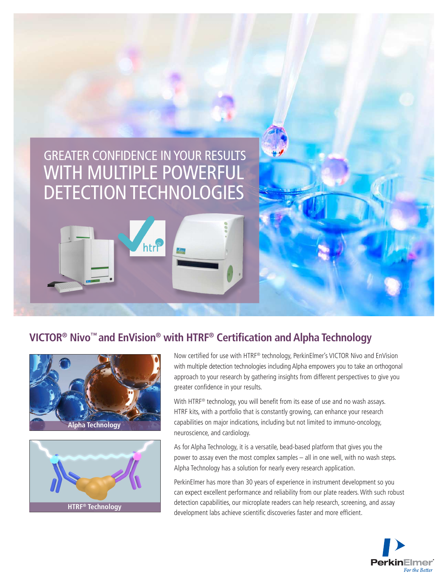# GREATER CONFIDENCE IN YOUR RESULTS WITH MULTIPLE POWERFUL DETECTION TECHNOLOGIES

htri

## **VICTOR® Nivo™ and EnVision® with HTRF® Certification and Alpha Technology**





Now certified for use with HTRF® technology, PerkinElmer's VICTOR Nivo and EnVision with multiple detection technologies including Alpha empowers you to take an orthogonal approach to your research by gathering insights from different perspectives to give you greater confidence in your results.

With HTRF<sup>®</sup> technology, you will benefit from its ease of use and no wash assays. HTRF kits, with a portfolio that is constantly growing, can enhance your research capabilities on major indications, including but not limited to immuno-oncology, neuroscience, and cardiology.

As for Alpha Technology, it is a versatile, bead-based platform that gives you the power to assay even the most complex samples – all in one well, with no wash steps. Alpha Technology has a solution for nearly every research application.

PerkinElmer has more than 30 years of experience in instrument development so you can expect excellent performance and reliability from our plate readers. With such robust detection capabilities, our microplate readers can help research, screening, and assay development labs achieve scientific discoveries faster and more efficient.